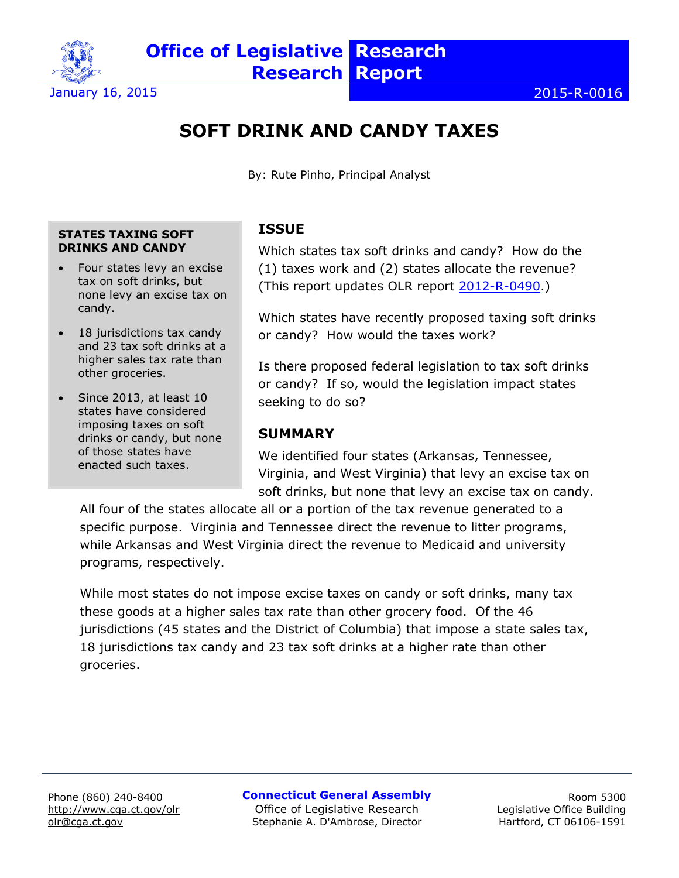

# **SOFT DRINK AND CANDY TAXES**

By: Rute Pinho, Principal Analyst

#### **STATES TAXING SOFT DRINKS AND CANDY**

- Four states levy an excise tax on soft drinks, but none levy an excise tax on candy.
- 18 jurisdictions tax candy and 23 tax soft drinks at a higher sales tax rate than other groceries.
- Since 2013, at least 10 states have considered imposing taxes on soft drinks or candy, but none of those states have enacted such taxes.

### **ISSUE**

Which states tax soft drinks and candy? How do the (1) taxes work and (2) states allocate the revenue? (This report updates OLR report [2012-R-0490.](http://www.cga.ct.gov/2012/rpt/pdf/2012-R-0490.pdf))

Which states have recently proposed taxing soft drinks or candy? How would the taxes work?

Is there proposed federal legislation to tax soft drinks or candy? If so, would the legislation impact states seeking to do so?

### **SUMMARY**

We identified four states (Arkansas, Tennessee, Virginia, and West Virginia) that levy an excise tax on soft drinks, but none that levy an excise tax on candy.

All four of the states allocate all or a portion of the tax revenue generated to a specific purpose. Virginia and Tennessee direct the revenue to litter programs, while Arkansas and West Virginia direct the revenue to Medicaid and university programs, respectively.

While most states do not impose excise taxes on candy or soft drinks, many tax these goods at a higher sales tax rate than other grocery food. Of the 46 jurisdictions (45 states and the District of Columbia) that impose a state sales tax, 18 jurisdictions tax candy and 23 tax soft drinks at a higher rate than other groceries.

**Connecticut General Assembly** Office of Legislative Research Stephanie A. D'Ambrose, Director

Room 5300 Legislative Office Building Hartford, CT 06106-1591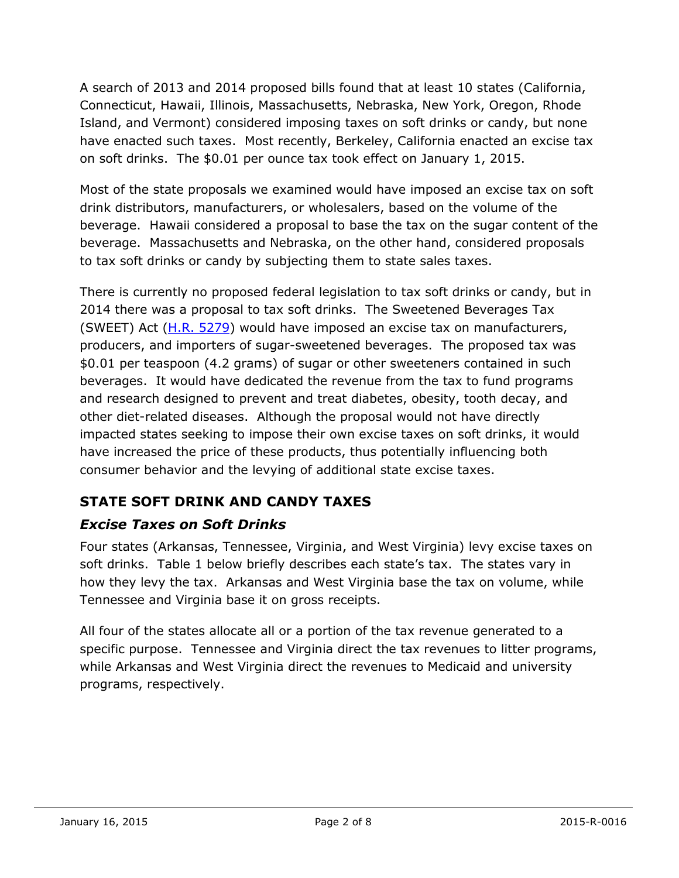A search of 2013 and 2014 proposed bills found that at least 10 states (California, Connecticut, Hawaii, Illinois, Massachusetts, Nebraska, New York, Oregon, Rhode Island, and Vermont) considered imposing taxes on soft drinks or candy, but none have enacted such taxes. Most recently, Berkeley, California enacted an excise tax on soft drinks. The \$0.01 per ounce tax took effect on January 1, 2015.

Most of the state proposals we examined would have imposed an excise tax on soft drink distributors, manufacturers, or wholesalers, based on the volume of the beverage. Hawaii considered a proposal to base the tax on the sugar content of the beverage. Massachusetts and Nebraska, on the other hand, considered proposals to tax soft drinks or candy by subjecting them to state sales taxes.

There is currently no proposed federal legislation to tax soft drinks or candy, but in 2014 there was a proposal to tax soft drinks. The Sweetened Beverages Tax (SWEET) Act [\(H.R. 5279\)](https://www.congress.gov/113/bills/hr5279/BILLS-113hr5279ih.xml) would have imposed an excise tax on manufacturers, producers, and importers of sugar-sweetened beverages. The proposed tax was \$0.01 per teaspoon (4.2 grams) of sugar or other sweeteners contained in such beverages. It would have dedicated the revenue from the tax to fund programs and research designed to prevent and treat diabetes, obesity, tooth decay, and other diet-related diseases. Although the proposal would not have directly impacted states seeking to impose their own excise taxes on soft drinks, it would have increased the price of these products, thus potentially influencing both consumer behavior and the levying of additional state excise taxes.

## **STATE SOFT DRINK AND CANDY TAXES**

### *Excise Taxes on Soft Drinks*

Four states (Arkansas, Tennessee, Virginia, and West Virginia) levy excise taxes on soft drinks. Table 1 below briefly describes each state's tax. The states vary in how they levy the tax. Arkansas and West Virginia base the tax on volume, while Tennessee and Virginia base it on gross receipts.

All four of the states allocate all or a portion of the tax revenue generated to a specific purpose. Tennessee and Virginia direct the tax revenues to litter programs, while Arkansas and West Virginia direct the revenues to Medicaid and university programs, respectively.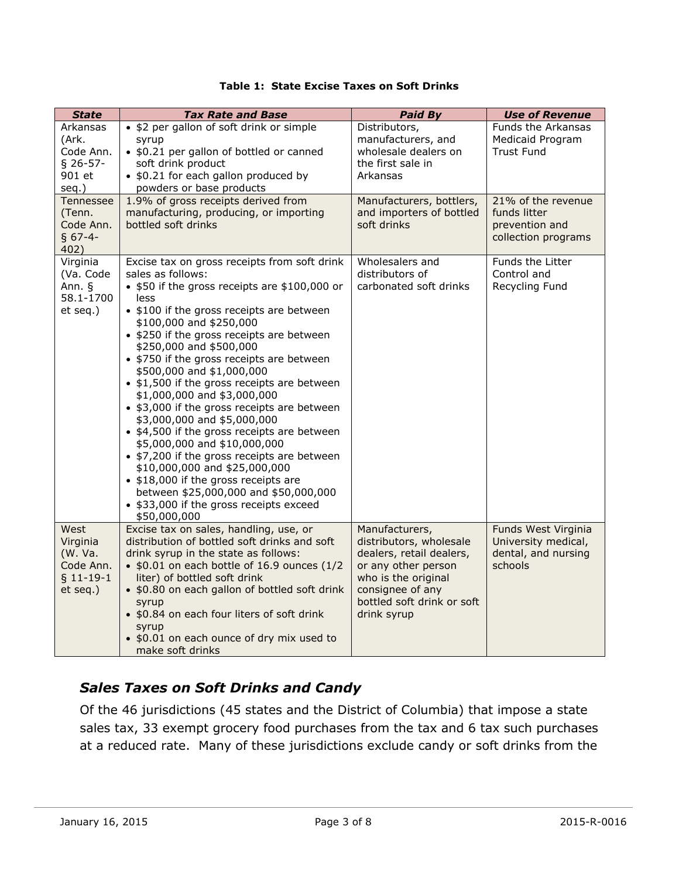| Table 1: State Excise Taxes on Soft Drinks |  |
|--------------------------------------------|--|
|--------------------------------------------|--|

| <b>State</b>                                                       | <b>Tax Rate and Base</b>                                                                                                                                                                                                                                                                                                                                                                                                                                                                                                                                                                                                                                                                                                                                                                                                    | Paid By                                                                                                                                                                              | <b>Use of Revenue</b>                                                        |
|--------------------------------------------------------------------|-----------------------------------------------------------------------------------------------------------------------------------------------------------------------------------------------------------------------------------------------------------------------------------------------------------------------------------------------------------------------------------------------------------------------------------------------------------------------------------------------------------------------------------------------------------------------------------------------------------------------------------------------------------------------------------------------------------------------------------------------------------------------------------------------------------------------------|--------------------------------------------------------------------------------------------------------------------------------------------------------------------------------------|------------------------------------------------------------------------------|
| Arkansas<br>(Ark.<br>Code Ann.<br>$§$ 26-57-<br>901 et<br>seq.)    | • \$2 per gallon of soft drink or simple<br>syrup<br>• \$0.21 per gallon of bottled or canned<br>soft drink product<br>• \$0.21 for each gallon produced by<br>powders or base products                                                                                                                                                                                                                                                                                                                                                                                                                                                                                                                                                                                                                                     | Distributors,<br>manufacturers, and<br>wholesale dealers on<br>the first sale in<br>Arkansas                                                                                         | Funds the Arkansas<br>Medicaid Program<br><b>Trust Fund</b>                  |
| Tennessee<br>(Tenn.<br>Code Ann.<br>$§ 67-4-$<br>402)              | 1.9% of gross receipts derived from<br>manufacturing, producing, or importing<br>bottled soft drinks                                                                                                                                                                                                                                                                                                                                                                                                                                                                                                                                                                                                                                                                                                                        | Manufacturers, bottlers,<br>and importers of bottled<br>soft drinks                                                                                                                  | 21% of the revenue<br>funds litter<br>prevention and<br>collection programs  |
| Virginia<br>(Va. Code<br>Ann. §<br>58.1-1700<br>et seq.)           | Excise tax on gross receipts from soft drink<br>sales as follows:<br>• \$50 if the gross receipts are \$100,000 or<br>less<br>• \$100 if the gross receipts are between<br>\$100,000 and \$250,000<br>• \$250 if the gross receipts are between<br>\$250,000 and \$500,000<br>• \$750 if the gross receipts are between<br>\$500,000 and \$1,000,000<br>• \$1,500 if the gross receipts are between<br>\$1,000,000 and \$3,000,000<br>• \$3,000 if the gross receipts are between<br>\$3,000,000 and \$5,000,000<br>• \$4,500 if the gross receipts are between<br>\$5,000,000 and \$10,000,000<br>• \$7,200 if the gross receipts are between<br>\$10,000,000 and \$25,000,000<br>• \$18,000 if the gross receipts are<br>between \$25,000,000 and \$50,000,000<br>• \$33,000 if the gross receipts exceed<br>\$50,000,000 | Wholesalers and<br>distributors of<br>carbonated soft drinks                                                                                                                         | Funds the Litter<br>Control and<br>Recycling Fund                            |
| West<br>Virginia<br>(W. Va.<br>Code Ann.<br>$$11-19-1$<br>et seq.) | Excise tax on sales, handling, use, or<br>distribution of bottled soft drinks and soft<br>drink syrup in the state as follows:<br>• \$0.01 on each bottle of 16.9 ounces (1/2<br>liter) of bottled soft drink<br>• \$0.80 on each gallon of bottled soft drink<br>syrup<br>• \$0.84 on each four liters of soft drink<br>syrup<br>• \$0.01 on each ounce of dry mix used to<br>make soft drinks                                                                                                                                                                                                                                                                                                                                                                                                                             | Manufacturers,<br>distributors, wholesale<br>dealers, retail dealers,<br>or any other person<br>who is the original<br>consignee of any<br>bottled soft drink or soft<br>drink syrup | Funds West Virginia<br>University medical,<br>dental, and nursing<br>schools |

## *Sales Taxes on Soft Drinks and Candy*

Of the 46 jurisdictions (45 states and the District of Columbia) that impose a state sales tax, 33 exempt grocery food purchases from the tax and 6 tax such purchases at a reduced rate. Many of these jurisdictions exclude candy or soft drinks from the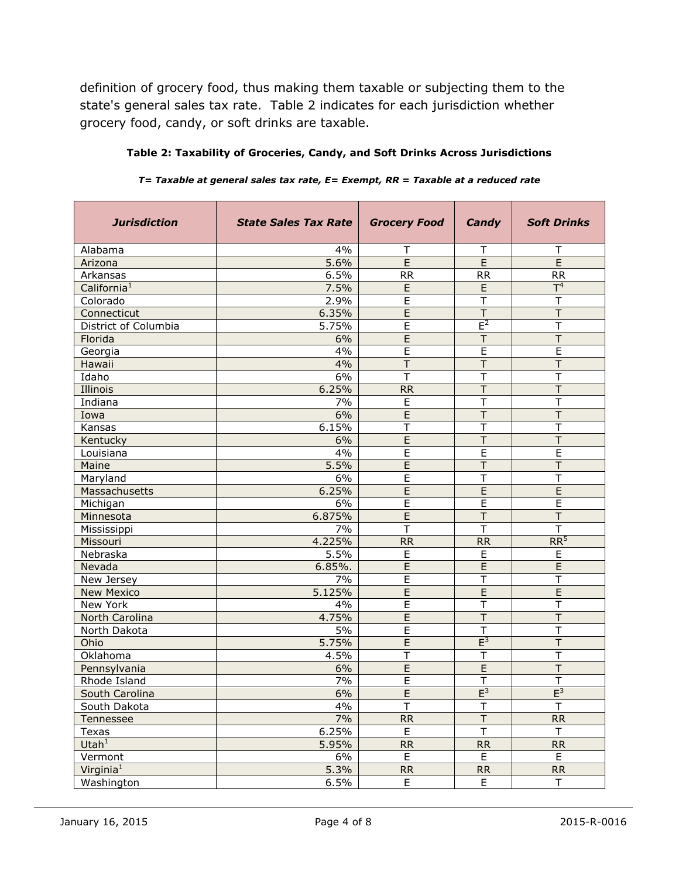definition of grocery food, thus making them taxable or subjecting them to the state's general sales tax rate. Table 2 indicates for each jurisdiction whether grocery food, candy, or soft drinks are taxable.

| <b>Jurisdiction</b>     | <b>State Sales Tax Rate</b> | <b>Grocery Food</b>     | Candy                   | <b>Soft Drinks</b>      |
|-------------------------|-----------------------------|-------------------------|-------------------------|-------------------------|
| Alabama                 | 4%                          | Т                       | Т                       | Т                       |
| Arizona                 | 5.6%                        | $\overline{E}$          | $\overline{E}$          | $\overline{E}$          |
| Arkansas                | 6.5%                        | <b>RR</b>               | <b>RR</b>               | <b>RR</b>               |
| California <sup>1</sup> | 7.5%                        | E                       | E                       | T <sup>4</sup>          |
| Colorado                | 2.9%                        | E                       | T                       | Τ                       |
| Connecticut             | 6.35%                       | $\overline{E}$          | $\top$                  | $\overline{\mathsf{T}}$ |
| District of Columbia    | 5.75%                       | E                       | $E^2$                   | T                       |
| Florida                 | 6%                          | E                       | $\mathsf{T}$            | T                       |
| Georgia                 | 4%                          | E                       | E                       | E                       |
| Hawaii                  | 4%                          | $\top$                  | $\top$                  | T                       |
| Idaho                   | 6%                          | Т                       | Т                       | Τ                       |
| Illinois                | 6.25%                       | <b>RR</b>               | Τ                       | Τ                       |
| Indiana                 | 7%                          | E                       | Т                       | Τ                       |
| Iowa                    | 6%                          | $\overline{E}$          | $\overline{\mathsf{T}}$ | $\overline{\mathsf{T}}$ |
| Kansas                  | 6.15%                       | $\overline{\mathsf{T}}$ | T                       | T                       |
| Kentucky                | 6%                          | $\overline{E}$          | T                       | $\overline{\mathsf{T}}$ |
| Louisiana               | 4%                          | E                       | E                       | E                       |
| Maine                   | 5.5%                        | $\overline{E}$          | $\overline{T}$          | T                       |
| Maryland                | 6%                          | $\overline{E}$          | T                       | T                       |
| Massachusetts           | 6.25%                       | E                       | E                       | E                       |
| Michigan                | 6%                          | E                       | E                       | E                       |
| Minnesota               | 6.875%                      | E                       | T                       | T                       |
| Mississippi             | 7%                          | $\top$                  | $\overline{\mathsf{T}}$ | T                       |
| Missouri                | 4.225%                      | <b>RR</b>               | <b>RR</b>               | RR <sup>5</sup>         |
| Nebraska                | 5.5%                        | E                       | E                       | E                       |
| Nevada                  | 6.85%.                      | E                       | $\overline{E}$          | E                       |
| New Jersey              | 7%                          | $\overline{E}$          | T                       | Τ                       |
| <b>New Mexico</b>       | 5.125%                      | E                       | E                       | E                       |
| New York                | 4%                          | E                       | $\mathsf T$             | T                       |
| North Carolina          | 4.75%                       | $\overline{E}$          | $\overline{\mathsf{T}}$ | T                       |
| North Dakota            | 5%                          | E                       | T                       | T                       |
| Ohio                    | 5.75%                       | E                       | $E^3$                   | T                       |
| Oklahoma                | 4.5%                        | Τ                       | т                       | Τ                       |
| Pennsylvania            | 6%                          | E                       | E                       | T                       |
| Rhode Island            | 7%                          | $\overline{E}$          | $\overline{\mathsf{T}}$ | T                       |
| South Carolina          | 6%                          | E                       | $E^3$                   | $E^3$                   |
| South Dakota            | 4%                          | T                       | $\top$                  | $\overline{\mathsf{T}}$ |
| Tennessee               | 7%                          | RR                      | $\overline{\mathsf{T}}$ | RR                      |
| Texas                   | 6.25%                       | E                       | $\overline{\mathsf{T}}$ | $\mathsf T$             |
| Utah <sup>1</sup>       | 5.95%                       | <b>RR</b>               | <b>RR</b>               | <b>RR</b>               |
| Vermont                 | 6%                          | E                       | E                       | E.                      |
| Virginia $1$            | 5.3%                        | RR                      | RR                      | RR                      |
| Washington              | 6.5%                        | E.                      | E.                      | T.                      |

**Table 2: Taxability of Groceries, Candy, and Soft Drinks Across Jurisdictions**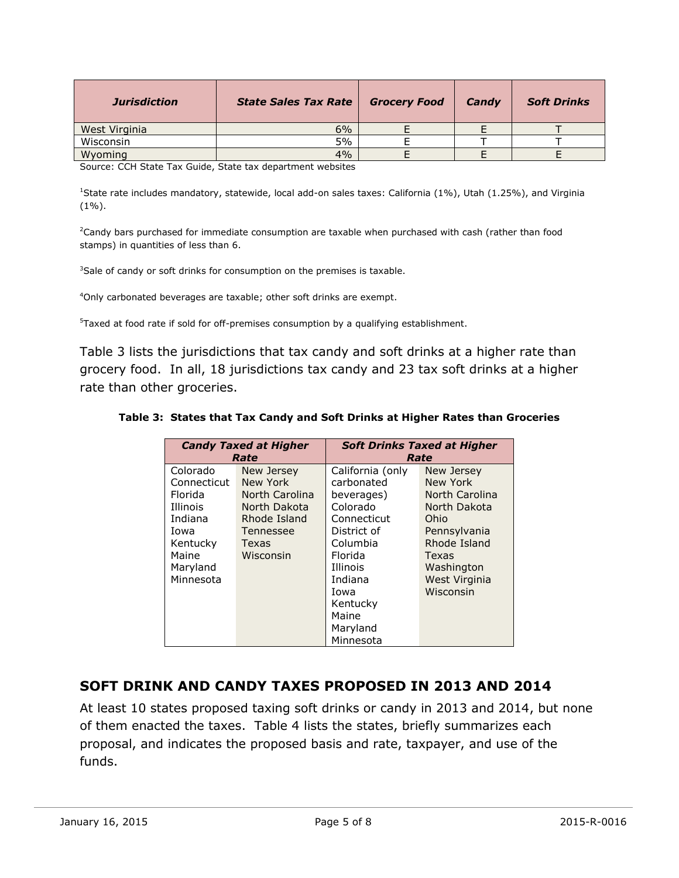| <b>Jurisdiction</b> | <b>State Sales Tax Rate</b> | <b>Grocery Food</b> | Candy | <b>Soft Drinks</b> |
|---------------------|-----------------------------|---------------------|-------|--------------------|
| West Virginia       | 6%                          |                     |       |                    |
| Wisconsin           | 5%                          |                     |       |                    |
| Wyoming             | 4%                          |                     |       |                    |

Source: CCH State Tax Guide, State tax department websites

<sup>1</sup>State rate includes mandatory, statewide, local add-on sales taxes: California (1%), Utah (1.25%), and Virginia  $(1\%)$ .

<sup>2</sup>Candy bars purchased for immediate consumption are taxable when purchased with cash (rather than food stamps) in quantities of less than 6.

<sup>3</sup>Sale of candy or soft drinks for consumption on the premises is taxable.

<sup>4</sup>Only carbonated beverages are taxable; other soft drinks are exempt.

<sup>5</sup>Taxed at food rate if sold for off-premises consumption by a qualifying establishment.

Table 3 lists the jurisdictions that tax candy and soft drinks at a higher rate than grocery food. In all, 18 jurisdictions tax candy and 23 tax soft drinks at a higher rate than other groceries.

**Table 3: States that Tax Candy and Soft Drinks at Higher Rates than Groceries**

| <b>Candy Taxed at Higher</b><br>Rate |                | <b>Soft Drinks Taxed at Higher</b><br>Rate |                |  |
|--------------------------------------|----------------|--------------------------------------------|----------------|--|
| Colorado                             | New Jersey     | California (only                           | New Jersey     |  |
| Connecticut                          | New York       | carbonated                                 | New York       |  |
| Florida                              | North Carolina | beverages)                                 | North Carolina |  |
| Illinois                             | North Dakota   | Colorado                                   | North Dakota   |  |
| Indiana                              | Rhode Island   | Connecticut                                | Ohio           |  |
| Iowa                                 | Tennessee      | District of                                | Pennsylvania   |  |
| Kentucky                             | Texas          | Columbia                                   | Rhode Island   |  |
| Maine                                | Wisconsin      | Florida                                    | Texas          |  |
| Maryland                             |                | Illinois                                   | Washington     |  |
| Minnesota                            |                | Indiana                                    | West Virginia  |  |
|                                      |                | Iowa                                       | Wisconsin      |  |
|                                      |                | Kentucky                                   |                |  |
|                                      |                | Maine                                      |                |  |
|                                      |                | Maryland                                   |                |  |
|                                      |                | Minnesota                                  |                |  |

#### **SOFT DRINK AND CANDY TAXES PROPOSED IN 2013 AND 2014**

At least 10 states proposed taxing soft drinks or candy in 2013 and 2014, but none of them enacted the taxes. Table 4 lists the states, briefly summarizes each proposal, and indicates the proposed basis and rate, taxpayer, and use of the funds.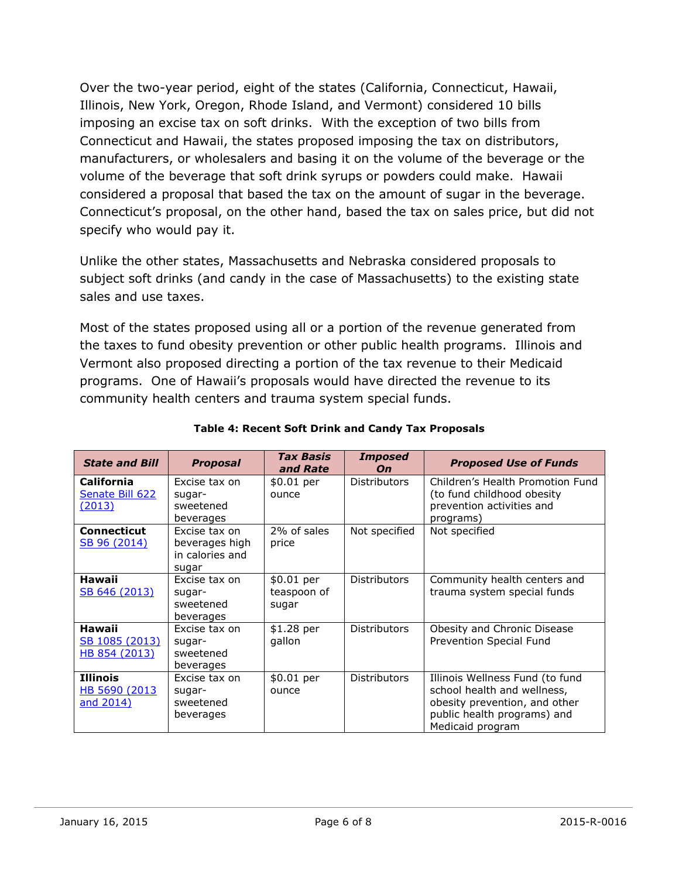Over the two-year period, eight of the states (California, Connecticut, Hawaii, Illinois, New York, Oregon, Rhode Island, and Vermont) considered 10 bills imposing an excise tax on soft drinks. With the exception of two bills from Connecticut and Hawaii, the states proposed imposing the tax on distributors, manufacturers, or wholesalers and basing it on the volume of the beverage or the volume of the beverage that soft drink syrups or powders could make. Hawaii considered a proposal that based the tax on the amount of sugar in the beverage. Connecticut's proposal, on the other hand, based the tax on sales price, but did not specify who would pay it.

Unlike the other states, Massachusetts and Nebraska considered proposals to subject soft drinks (and candy in the case of Massachusetts) to the existing state sales and use taxes.

Most of the states proposed using all or a portion of the revenue generated from the taxes to fund obesity prevention or other public health programs. Illinois and Vermont also proposed directing a portion of the tax revenue to their Medicaid programs. One of Hawaii's proposals would have directed the revenue to its community health centers and trauma system special funds.

| <b>State and Bill</b>                            | <b>Proposal</b>                                             | <b>Tax Basis</b><br>and Rate       | <b>Imposed</b><br>On | <b>Proposed Use of Funds</b>                                                                                                                       |
|--------------------------------------------------|-------------------------------------------------------------|------------------------------------|----------------------|----------------------------------------------------------------------------------------------------------------------------------------------------|
| <b>California</b><br>Senate Bill 622<br>(2013)   | Excise tax on<br>sugar-<br>sweetened<br>beverages           | \$0.01 per<br>ounce                | <b>Distributors</b>  | Children's Health Promotion Fund<br>(to fund childhood obesity<br>prevention activities and<br>programs)                                           |
| <b>Connecticut</b><br><u>SB 96 (2014)</u>        | Excise tax on<br>beverages high<br>in calories and<br>sugar | 2% of sales<br>price               | Not specified        | Not specified                                                                                                                                      |
| <b>Hawaii</b><br><u>SB 646 (2013)</u>            | Excise tax on<br>sugar-<br>sweetened<br>beverages           | \$0.01 per<br>teaspoon of<br>sugar | <b>Distributors</b>  | Community health centers and<br>trauma system special funds                                                                                        |
| <b>Hawaii</b><br>SB 1085 (2013)<br>HB 854 (2013) | Excise tax on<br>sugar-<br>sweetened<br>beverages           | \$1.28 per<br>gallon               | <b>Distributors</b>  | Obesity and Chronic Disease<br>Prevention Special Fund                                                                                             |
| <b>Illinois</b><br>HB 5690 (2013)<br>and 2014)   | Excise tax on<br>sugar-<br>sweetened<br>beverages           | \$0.01 per<br>ounce                | <b>Distributors</b>  | Illinois Wellness Fund (to fund<br>school health and wellness,<br>obesity prevention, and other<br>public health programs) and<br>Medicaid program |

#### **Table 4: Recent Soft Drink and Candy Tax Proposals**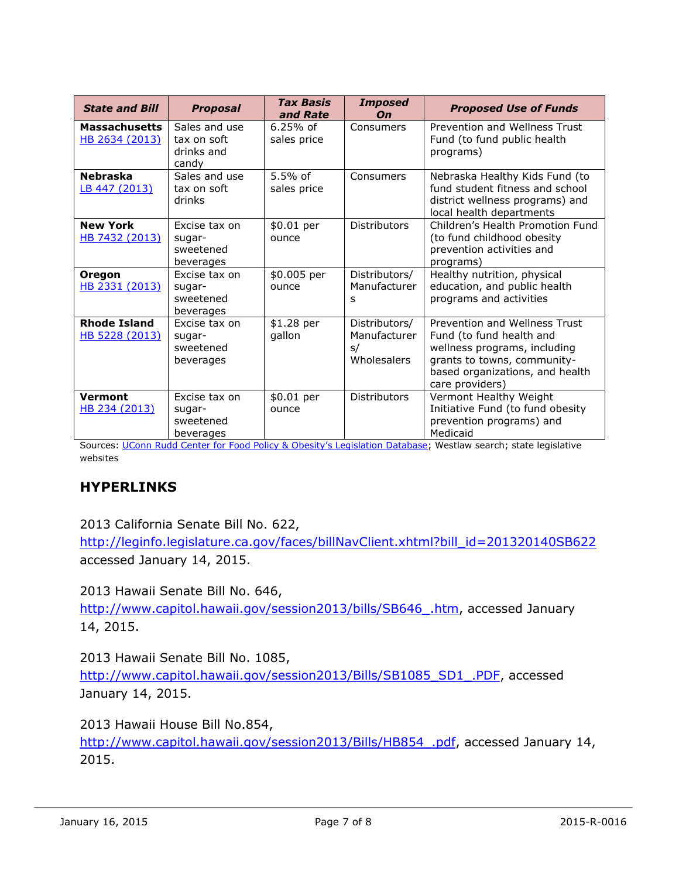| <b>State and Bill</b>                  | <b>Proposal</b>                                     | <b>Tax Basis</b><br>and Rate | <b>Imposed</b><br>On                               | <b>Proposed Use of Funds</b>                                                                                                                                                   |
|----------------------------------------|-----------------------------------------------------|------------------------------|----------------------------------------------------|--------------------------------------------------------------------------------------------------------------------------------------------------------------------------------|
| <b>Massachusetts</b><br>HB 2634 (2013) | Sales and use<br>tax on soft<br>drinks and<br>candy | $6.25%$ of<br>sales price    | Consumers                                          | Prevention and Wellness Trust<br>Fund (to fund public health<br>programs)                                                                                                      |
| <b>Nebraska</b><br>LB 447 (2013)       | Sales and use<br>tax on soft<br>drinks              | 5.5% of<br>sales price       | Consumers                                          | Nebraska Healthy Kids Fund (to<br>fund student fitness and school<br>district wellness programs) and<br>local health departments                                               |
| <b>New York</b><br>HB 7432 (2013)      | Excise tax on<br>sugar-<br>sweetened<br>beverages   | \$0.01 per<br>ounce          | <b>Distributors</b>                                | Children's Health Promotion Fund<br>(to fund childhood obesity<br>prevention activities and<br>programs)                                                                       |
| <b>Oregon</b><br>HB 2331 (2013)        | Excise tax on<br>sugar-<br>sweetened<br>beverages   | \$0.005 per<br>ounce         | Distributors/<br>Manufacturer<br>s                 | Healthy nutrition, physical<br>education, and public health<br>programs and activities                                                                                         |
| <b>Rhode Island</b><br>HB 5228 (2013)  | Excise tax on<br>sugar-<br>sweetened<br>beverages   | \$1.28 per<br>gallon         | Distributors/<br>Manufacturer<br>s/<br>Wholesalers | Prevention and Wellness Trust<br>Fund (to fund health and<br>wellness programs, including<br>grants to towns, community-<br>based organizations, and health<br>care providers) |
| <b>Vermont</b><br>HB 234 (2013)        | Excise tax on<br>sugar-<br>sweetened<br>beverages   | \$0.01 per<br>ounce          | <b>Distributors</b>                                | Vermont Healthy Weight<br>Initiative Fund (to fund obesity<br>prevention programs) and<br>Medicaid                                                                             |

Sources: UConn Rudd Center for Food Poli[cy & Obesity's Legislation Database](http://www.yaleruddcenter.org/legislation/); Westlaw search; state legislative websites

#### **HYPERLINKS**

2013 California Senate Bill No. 622,

[http://leginfo.legislature.ca.gov/faces/billNavClient.xhtml?bill\\_id=201320140SB622](http://leginfo.legislature.ca.gov/faces/billNavClient.xhtml?bill_id=201320140SB622) accessed January 14, 2015.

2013 Hawaii Senate Bill No. 646,

[http://www.capitol.hawaii.gov/session2013/bills/SB646\\_.htm,](http://www.capitol.hawaii.gov/session2013/bills/SB646_.htm) accessed January 14, 2015.

2013 Hawaii Senate Bill No. 1085,

[http://www.capitol.hawaii.gov/session2013/Bills/SB1085\\_SD1\\_.PDF,](http://www.capitol.hawaii.gov/session2013/Bills/SB1085_SD1_.PDF) accessed January 14, 2015.

2013 Hawaii House Bill No.854, http://www.capitol.hawaii.gov/session2013/Bills/HB854 .pdf, accessed January 14, 2015.